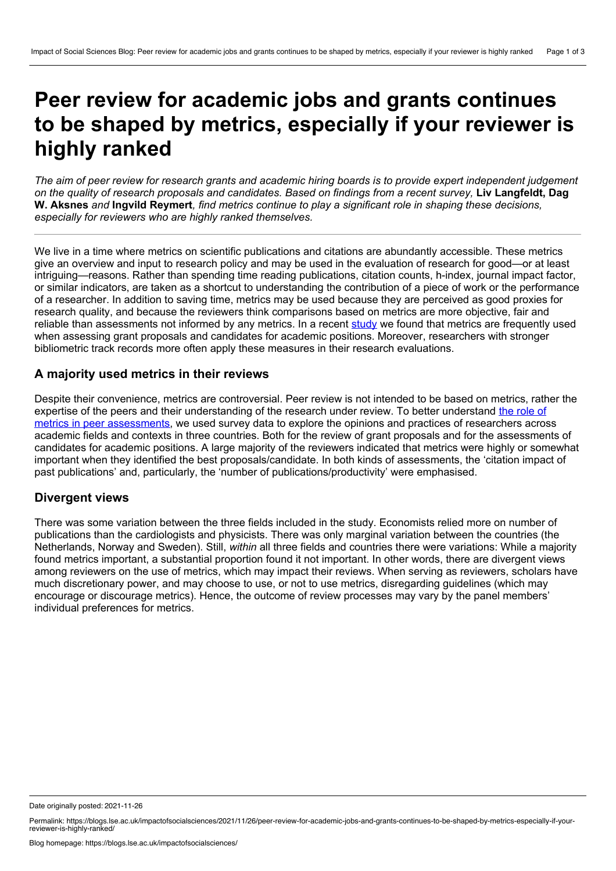# **Peer review for academic jobs and grants continues to be shaped by metrics, especially if your reviewer is highly ranked**

The aim of peer review for research grants and academic hiring boards is to provide expert independent judgement on the quality of research proposals and candidates. Based on findings from a recent survey, Liv Langfeldt, Dag W. Aksnes and Ingvild Reymert, find metrics continue to play a significant role in shaping these decisions, *especially for reviewers who are highly ranked themselves.*

We live in a time where metrics on scientific publications and citations are abundantly accessible. These metrics give an overview and input to research policy and may be used in the evaluation of research for good—or at least intriguing—reasons. Rather than spending time reading publications, citation counts, h-index, journal impact factor, or similar indicators, are taken as a shortcut to understanding the contribution of a piece of work or the performance of a researcher. In addition to saving time, metrics may be used because they are perceived as good proxies for research quality, and because the reviewers think comparisons based on metrics are more objective, fair and reliable than assessments not informed by any metrics. In a recent [study](https://doi.org/10.1093/reseval/rvaa032) we found that metrics are frequently used when assessing grant proposals and candidates for academic positions. Moreover, researchers with stronger bibliometric track records more often apply these measures in their research evaluations.

## **A majority used metrics in their reviews**

Despite their convenience, metrics are controversial. Peer review is not intended to be based on metrics, rather the expertise of the peers and their [understanding](https://doi.org/10.1093/reseval/rvaa032) of the research under review. To better understand the role of metrics in peer assessments, we used survey data to explore the opinions and practices of researchers across academic fields and contexts in three countries. Both for the review of grant proposals and for the assessments of candidates for academic positions. A large majority of the reviewers indicated that metrics were highly or somewhat important when they identified the best proposals/candidate. In both kinds of assessments, the 'citation impact of past publications' and, particularly, the 'number of publications/productivity' were emphasised.

## **Divergent views**

There was some variation between the three fields included in the study. Economists relied more on number of publications than the cardiologists and physicists. There was only marginal variation between the countries (the Netherlands, Norway and Sweden). Still, *within* all three fields and countries there were variations: While a majority found metrics important, a substantial proportion found it not important. In other words, there are divergent views among reviewers on the use of metrics, which may impact their reviews. When serving as reviewers, scholars have much discretionary power, and may choose to use, or not to use metrics, disregarding guidelines (which may encourage or discourage metrics). Hence, the outcome of review processes may vary by the panel members' individual preferences for metrics.

Date originally posted: 2021-11-26

Permalink: https://blogs.lse.ac.uk/impactofsocialsciences/2021/11/26/peer-review-for-academic-jobs-and-grants-continues-to-be-shaped-by-metrics-especially-if-your-reviewer-is-highly-ranked/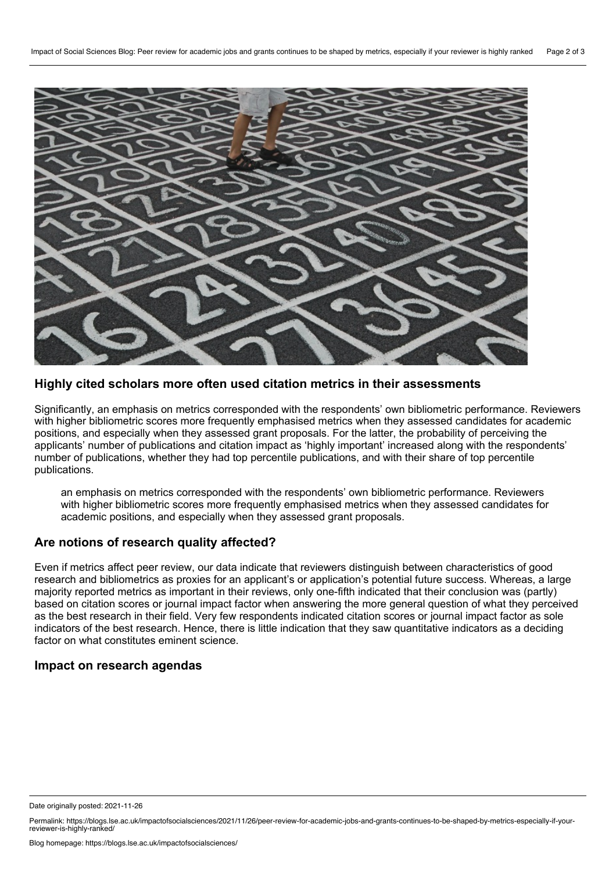

#### **Highly cited scholars more often used citation metrics in their assessments**

Significantly, an emphasis on metrics corresponded with the respondents' own bibliometric performance. Reviewers with higher bibliometric scores more frequently emphasised metrics when they assessed candidates for academic positions, and especially when they assessed grant proposals. For the latter, the probability of perceiving the applicants' number of publications and citation impact as 'highly important' increased along with the respondents' number of publications, whether they had top percentile publications, and with their share of top percentile publications.

an emphasis on metrics corresponded with the respondents' own bibliometric performance. Reviewers with higher bibliometric scores more frequently emphasised metrics when they assessed candidates for academic positions, and especially when they assessed grant proposals.

#### **Are notions of research quality affected?**

Even if metrics affect peer review, our data indicate that reviewers distinguish between characteristics of good research and bibliometrics as proxies for an applicant's or application's potential future success. Whereas, a large majority reported metrics as important in their reviews, only one-fifth indicated that their conclusion was (partly) based on citation scores or journal impact factor when answering the more general question of what they perceived as the best research in their field. Very few respondents indicated citation scores or journal impact factor as sole indicators of the best research. Hence, there is little indication that they saw quantitative indicators as a deciding factor on what constitutes eminent science.

### **Impact on research agendas**

Date originally posted: 2021-11-26

Permalink: https://blogs.lse.ac.uk/impactofsocialsciences/2021/11/26/peer-review-for-academic-jobs-and-grants-continues-to-be-shaped-by-metrics-especially-if-your-reviewer-is-highly-ranked/